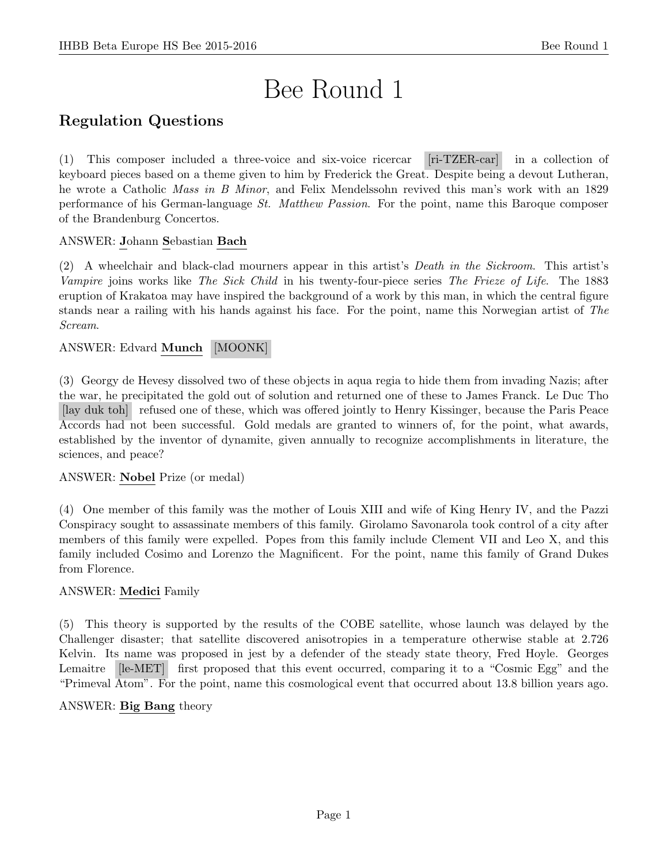# Bee Round 1

# Regulation Questions

(1) This composer included a three-voice and six-voice ricercar [ri-TZER-car] in a collection of keyboard pieces based on a theme given to him by Frederick the Great. Despite being a devout Lutheran, he wrote a Catholic Mass in B Minor, and Felix Mendelssohn revived this man's work with an 1829 performance of his German-language St. Matthew Passion. For the point, name this Baroque composer of the Brandenburg Concertos.

## ANSWER: Johann Sebastian Bach

(2) A wheelchair and black-clad mourners appear in this artist's Death in the Sickroom. This artist's Vampire joins works like The Sick Child in his twenty-four-piece series The Frieze of Life. The 1883 eruption of Krakatoa may have inspired the background of a work by this man, in which the central figure stands near a railing with his hands against his face. For the point, name this Norwegian artist of The Scream.

## ANSWER: Edvard Munch [MOONK]

(3) Georgy de Hevesy dissolved two of these objects in aqua regia to hide them from invading Nazis; after the war, he precipitated the gold out of solution and returned one of these to James Franck. Le Duc Tho [lay duk toh] refused one of these, which was offered jointly to Henry Kissinger, because the Paris Peace Accords had not been successful. Gold medals are granted to winners of, for the point, what awards, established by the inventor of dynamite, given annually to recognize accomplishments in literature, the sciences, and peace?

## ANSWER: Nobel Prize (or medal)

(4) One member of this family was the mother of Louis XIII and wife of King Henry IV, and the Pazzi Conspiracy sought to assassinate members of this family. Girolamo Savonarola took control of a city after members of this family were expelled. Popes from this family include Clement VII and Leo X, and this family included Cosimo and Lorenzo the Magnificent. For the point, name this family of Grand Dukes from Florence.

## ANSWER: Medici Family

(5) This theory is supported by the results of the COBE satellite, whose launch was delayed by the Challenger disaster; that satellite discovered anisotropies in a temperature otherwise stable at 2.726 Kelvin. Its name was proposed in jest by a defender of the steady state theory, Fred Hoyle. Georges Lemaitre [le-MET] first proposed that this event occurred, comparing it to a "Cosmic Egg" and the "Primeval Atom". For the point, name this cosmological event that occurred about 13.8 billion years ago.

#### ANSWER: Big Bang theory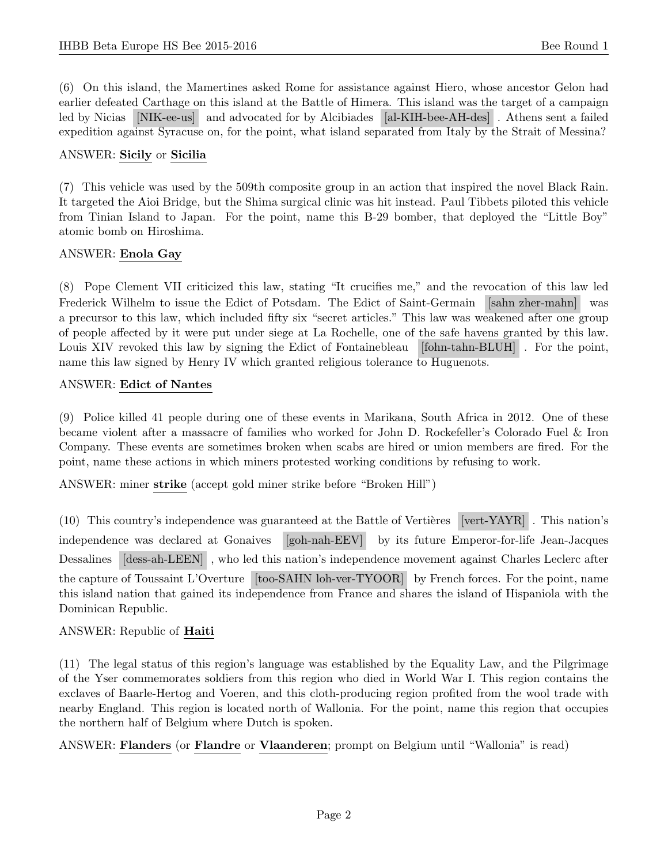(6) On this island, the Mamertines asked Rome for assistance against Hiero, whose ancestor Gelon had earlier defeated Carthage on this island at the Battle of Himera. This island was the target of a campaign led by Nicias [NIK-ee-us] and advocated for by Alcibiades [al-KIH-bee-AH-des] . Athens sent a failed expedition against Syracuse on, for the point, what island separated from Italy by the Strait of Messina?

## ANSWER: Sicily or Sicilia

(7) This vehicle was used by the 509th composite group in an action that inspired the novel Black Rain. It targeted the Aioi Bridge, but the Shima surgical clinic was hit instead. Paul Tibbets piloted this vehicle from Tinian Island to Japan. For the point, name this B-29 bomber, that deployed the "Little Boy" atomic bomb on Hiroshima.

## ANSWER: Enola Gay

(8) Pope Clement VII criticized this law, stating "It crucifies me," and the revocation of this law led Frederick Wilhelm to issue the Edict of Potsdam. The Edict of Saint-Germain [sahn zher-mahn] was a precursor to this law, which included fifty six "secret articles." This law was weakened after one group of people affected by it were put under siege at La Rochelle, one of the safe havens granted by this law. Louis XIV revoked this law by signing the Edict of Fontainebleau [fohn-tahn-BLUH]. For the point, name this law signed by Henry IV which granted religious tolerance to Huguenots.

## ANSWER: Edict of Nantes

(9) Police killed 41 people during one of these events in Marikana, South Africa in 2012. One of these became violent after a massacre of families who worked for John D. Rockefeller's Colorado Fuel & Iron Company. These events are sometimes broken when scabs are hired or union members are fired. For the point, name these actions in which miners protested working conditions by refusing to work.

ANSWER: miner strike (accept gold miner strike before "Broken Hill")

 $(10)$  This country's independence was guaranteed at the Battle of Vertières [vert-YAYR]. This nation's independence was declared at Gonaives [goh-nah-EEV] by its future Emperor-for-life Jean-Jacques Dessalines [dess-ah-LEEN] , who led this nation's independence movement against Charles Leclerc after the capture of Toussaint L'Overture [too-SAHN loh-ver-TYOOR] by French forces. For the point, name this island nation that gained its independence from France and shares the island of Hispaniola with the Dominican Republic.

## ANSWER: Republic of Haiti

(11) The legal status of this region's language was established by the Equality Law, and the Pilgrimage of the Yser commemorates soldiers from this region who died in World War I. This region contains the exclaves of Baarle-Hertog and Voeren, and this cloth-producing region profited from the wool trade with nearby England. This region is located north of Wallonia. For the point, name this region that occupies the northern half of Belgium where Dutch is spoken.

ANSWER: Flanders (or Flandre or Vlaanderen; prompt on Belgium until "Wallonia" is read)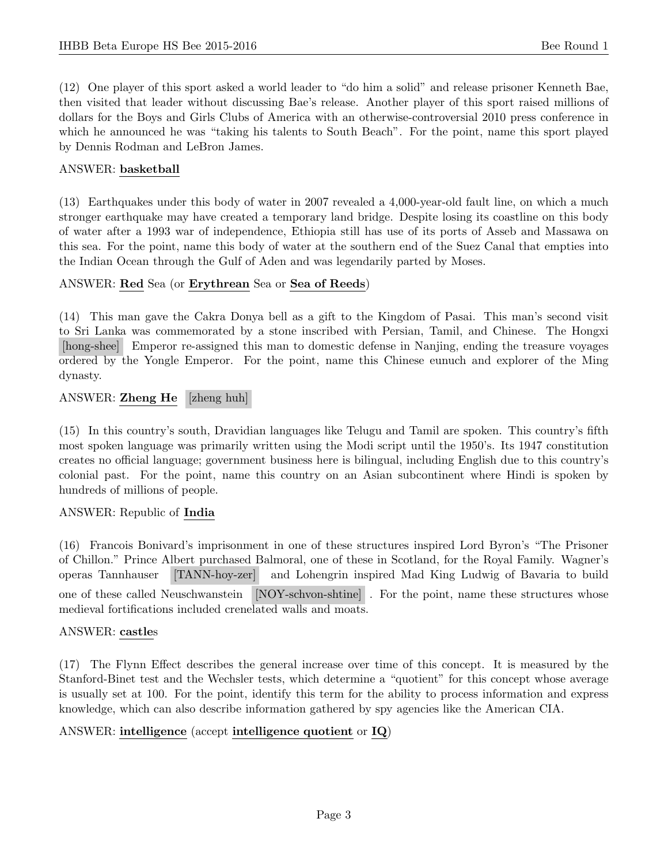(12) One player of this sport asked a world leader to "do him a solid" and release prisoner Kenneth Bae, then visited that leader without discussing Bae's release. Another player of this sport raised millions of dollars for the Boys and Girls Clubs of America with an otherwise-controversial 2010 press conference in which he announced he was "taking his talents to South Beach". For the point, name this sport played by Dennis Rodman and LeBron James.

#### ANSWER: basketball

(13) Earthquakes under this body of water in 2007 revealed a 4,000-year-old fault line, on which a much stronger earthquake may have created a temporary land bridge. Despite losing its coastline on this body of water after a 1993 war of independence, Ethiopia still has use of its ports of Asseb and Massawa on this sea. For the point, name this body of water at the southern end of the Suez Canal that empties into the Indian Ocean through the Gulf of Aden and was legendarily parted by Moses.

#### ANSWER: Red Sea (or Erythrean Sea or Sea of Reeds)

(14) This man gave the Cakra Donya bell as a gift to the Kingdom of Pasai. This man's second visit to Sri Lanka was commemorated by a stone inscribed with Persian, Tamil, and Chinese. The Hongxi [hong-shee] Emperor re-assigned this man to domestic defense in Nanjing, ending the treasure voyages ordered by the Yongle Emperor. For the point, name this Chinese eunuch and explorer of the Ming dynasty.

#### ANSWER: Zheng He [zheng huh]

(15) In this country's south, Dravidian languages like Telugu and Tamil are spoken. This country's fifth most spoken language was primarily written using the Modi script until the 1950's. Its 1947 constitution creates no official language; government business here is bilingual, including English due to this country's colonial past. For the point, name this country on an Asian subcontinent where Hindi is spoken by hundreds of millions of people.

## ANSWER: Republic of India

(16) Francois Bonivard's imprisonment in one of these structures inspired Lord Byron's "The Prisoner of Chillon." Prince Albert purchased Balmoral, one of these in Scotland, for the Royal Family. Wagner's operas Tannhauser [TANN-hoy-zer] and Lohengrin inspired Mad King Ludwig of Bavaria to build one of these called Neuschwanstein [NOY-schvon-shtine] . For the point, name these structures whose medieval fortifications included crenelated walls and moats.

#### ANSWER: castles

(17) The Flynn Effect describes the general increase over time of this concept. It is measured by the Stanford-Binet test and the Wechsler tests, which determine a "quotient" for this concept whose average is usually set at 100. For the point, identify this term for the ability to process information and express knowledge, which can also describe information gathered by spy agencies like the American CIA.

## ANSWER: intelligence (accept intelligence quotient or IQ)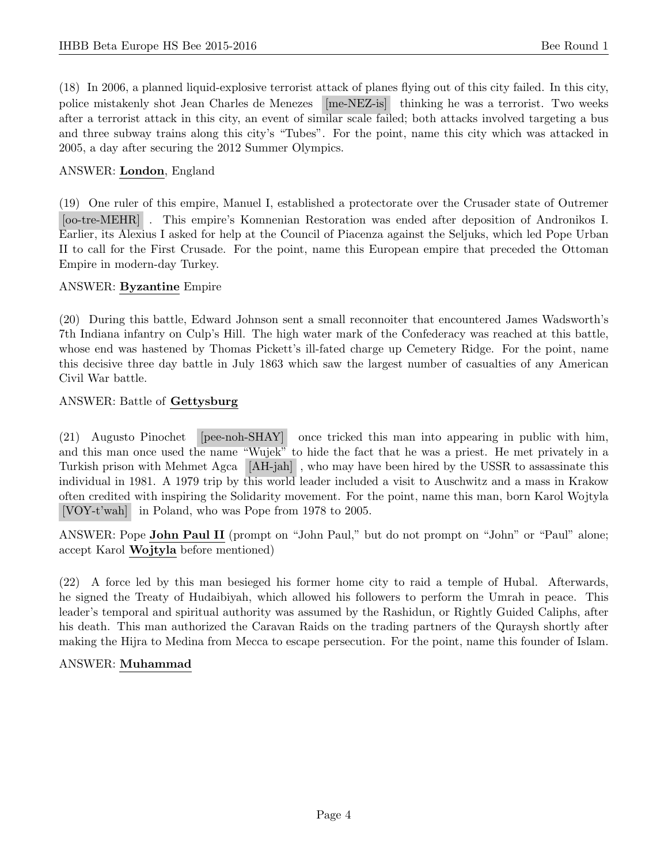(18) In 2006, a planned liquid-explosive terrorist attack of planes flying out of this city failed. In this city, police mistakenly shot Jean Charles de Menezes [me-NEZ-is] thinking he was a terrorist. Two weeks after a terrorist attack in this city, an event of similar scale failed; both attacks involved targeting a bus and three subway trains along this city's "Tubes". For the point, name this city which was attacked in 2005, a day after securing the 2012 Summer Olympics.

## ANSWER: London, England

(19) One ruler of this empire, Manuel I, established a protectorate over the Crusader state of Outremer [oo-tre-MEHR] . This empire's Komnenian Restoration was ended after deposition of Andronikos I. Earlier, its Alexius I asked for help at the Council of Piacenza against the Seljuks, which led Pope Urban II to call for the First Crusade. For the point, name this European empire that preceded the Ottoman Empire in modern-day Turkey.

## ANSWER: Byzantine Empire

(20) During this battle, Edward Johnson sent a small reconnoiter that encountered James Wadsworth's 7th Indiana infantry on Culp's Hill. The high water mark of the Confederacy was reached at this battle, whose end was hastened by Thomas Pickett's ill-fated charge up Cemetery Ridge. For the point, name this decisive three day battle in July 1863 which saw the largest number of casualties of any American Civil War battle.

## ANSWER: Battle of Gettysburg

(21) Augusto Pinochet [pee-noh-SHAY] once tricked this man into appearing in public with him, and this man once used the name "Wujek" to hide the fact that he was a priest. He met privately in a Turkish prison with Mehmet Agca [AH-jah] , who may have been hired by the USSR to assassinate this individual in 1981. A 1979 trip by this world leader included a visit to Auschwitz and a mass in Krakow often credited with inspiring the Solidarity movement. For the point, name this man, born Karol Wojtyla [VOY-t'wah] in Poland, who was Pope from 1978 to 2005.

ANSWER: Pope John Paul II (prompt on "John Paul," but do not prompt on "John" or "Paul" alone; accept Karol Wojtyla before mentioned)

(22) A force led by this man besieged his former home city to raid a temple of Hubal. Afterwards, he signed the Treaty of Hudaibiyah, which allowed his followers to perform the Umrah in peace. This leader's temporal and spiritual authority was assumed by the Rashidun, or Rightly Guided Caliphs, after his death. This man authorized the Caravan Raids on the trading partners of the Quraysh shortly after making the Hijra to Medina from Mecca to escape persecution. For the point, name this founder of Islam.

## ANSWER: Muhammad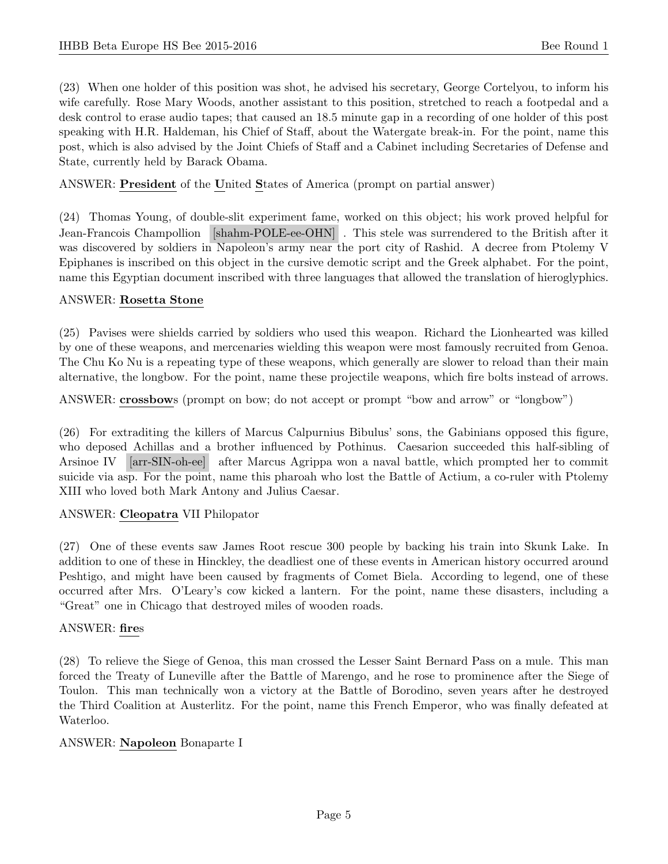(23) When one holder of this position was shot, he advised his secretary, George Cortelyou, to inform his wife carefully. Rose Mary Woods, another assistant to this position, stretched to reach a footpedal and a desk control to erase audio tapes; that caused an 18.5 minute gap in a recording of one holder of this post speaking with H.R. Haldeman, his Chief of Staff, about the Watergate break-in. For the point, name this post, which is also advised by the Joint Chiefs of Staff and a Cabinet including Secretaries of Defense and State, currently held by Barack Obama.

ANSWER: President of the United States of America (prompt on partial answer)

(24) Thomas Young, of double-slit experiment fame, worked on this object; his work proved helpful for Jean-Francois Champollion [shahm-POLE-ee-OHN] . This stele was surrendered to the British after it was discovered by soldiers in Napoleon's army near the port city of Rashid. A decree from Ptolemy V Epiphanes is inscribed on this object in the cursive demotic script and the Greek alphabet. For the point, name this Egyptian document inscribed with three languages that allowed the translation of hieroglyphics.

## ANSWER: Rosetta Stone

(25) Pavises were shields carried by soldiers who used this weapon. Richard the Lionhearted was killed by one of these weapons, and mercenaries wielding this weapon were most famously recruited from Genoa. The Chu Ko Nu is a repeating type of these weapons, which generally are slower to reload than their main alternative, the longbow. For the point, name these projectile weapons, which fire bolts instead of arrows.

ANSWER: crossbows (prompt on bow; do not accept or prompt "bow and arrow" or "longbow")

(26) For extraditing the killers of Marcus Calpurnius Bibulus' sons, the Gabinians opposed this figure, who deposed Achillas and a brother influenced by Pothinus. Caesarion succeeded this half-sibling of Arsinoe IV [arr-SIN-oh-ee] after Marcus Agrippa won a naval battle, which prompted her to commit suicide via asp. For the point, name this pharoah who lost the Battle of Actium, a co-ruler with Ptolemy XIII who loved both Mark Antony and Julius Caesar.

## ANSWER: Cleopatra VII Philopator

(27) One of these events saw James Root rescue 300 people by backing his train into Skunk Lake. In addition to one of these in Hinckley, the deadliest one of these events in American history occurred around Peshtigo, and might have been caused by fragments of Comet Biela. According to legend, one of these occurred after Mrs. O'Leary's cow kicked a lantern. For the point, name these disasters, including a "Great" one in Chicago that destroyed miles of wooden roads.

## ANSWER: fires

(28) To relieve the Siege of Genoa, this man crossed the Lesser Saint Bernard Pass on a mule. This man forced the Treaty of Luneville after the Battle of Marengo, and he rose to prominence after the Siege of Toulon. This man technically won a victory at the Battle of Borodino, seven years after he destroyed the Third Coalition at Austerlitz. For the point, name this French Emperor, who was finally defeated at Waterloo.

#### ANSWER: Napoleon Bonaparte I